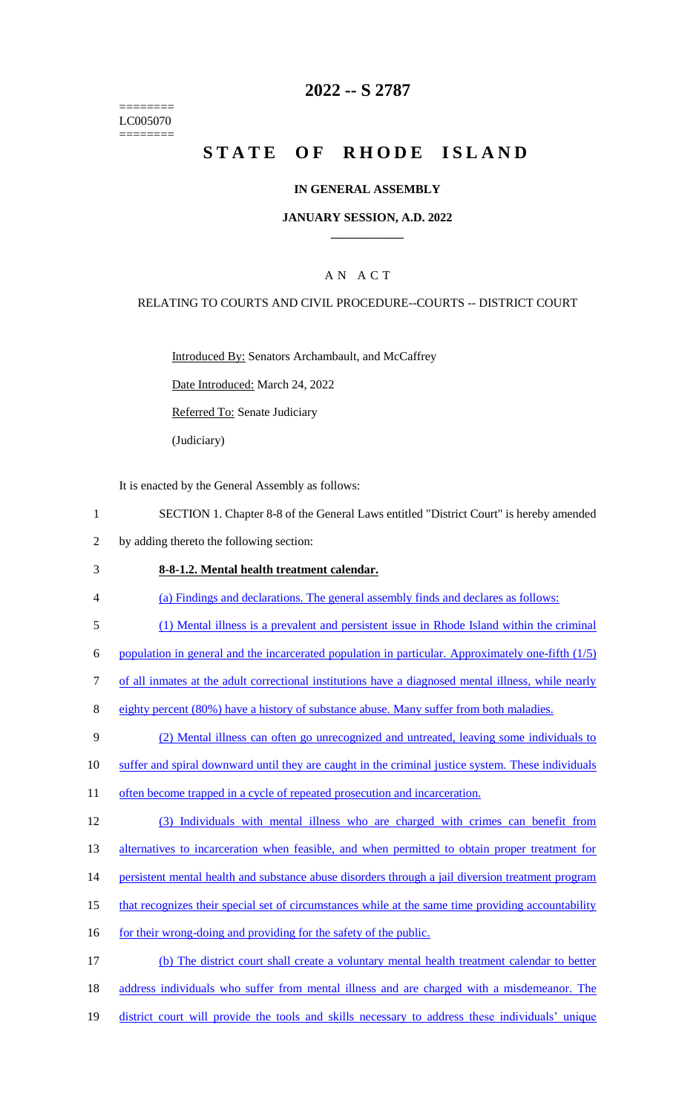======== LC005070 ========

## **2022 -- S 2787**

# **STATE OF RHODE ISLAND**

#### **IN GENERAL ASSEMBLY**

#### **JANUARY SESSION, A.D. 2022 \_\_\_\_\_\_\_\_\_\_\_\_**

### A N A C T

#### RELATING TO COURTS AND CIVIL PROCEDURE--COURTS -- DISTRICT COURT

Introduced By: Senators Archambault, and McCaffrey

Date Introduced: March 24, 2022

Referred To: Senate Judiciary

(Judiciary)

It is enacted by the General Assembly as follows:

- 1 SECTION 1. Chapter 8-8 of the General Laws entitled "District Court" is hereby amended
- 2 by adding thereto the following section:
- 3 **8-8-1.2. Mental health treatment calendar.**
- 4 (a) Findings and declarations. The general assembly finds and declares as follows:
- 5 (1) Mental illness is a prevalent and persistent issue in Rhode Island within the criminal

6 population in general and the incarcerated population in particular. Approximately one-fifth  $(1/5)$ 

- 7 of all inmates at the adult correctional institutions have a diagnosed mental illness, while nearly
- 8 eighty percent (80%) have a history of substance abuse. Many suffer from both maladies.
- 9 (2) Mental illness can often go unrecognized and untreated, leaving some individuals to
- 10 suffer and spiral downward until they are caught in the criminal justice system. These individuals
- 11 often become trapped in a cycle of repeated prosecution and incarceration.
- 12 (3) Individuals with mental illness who are charged with crimes can benefit from

13 alternatives to incarceration when feasible, and when permitted to obtain proper treatment for

- 14 persistent mental health and substance abuse disorders through a jail diversion treatment program
- 15 that recognizes their special set of circumstances while at the same time providing accountability
- 16 for their wrong-doing and providing for the safety of the public.

17 (b) The district court shall create a voluntary mental health treatment calendar to better 18 address individuals who suffer from mental illness and are charged with a misdemeanor. The 19 district court will provide the tools and skills necessary to address these individuals' unique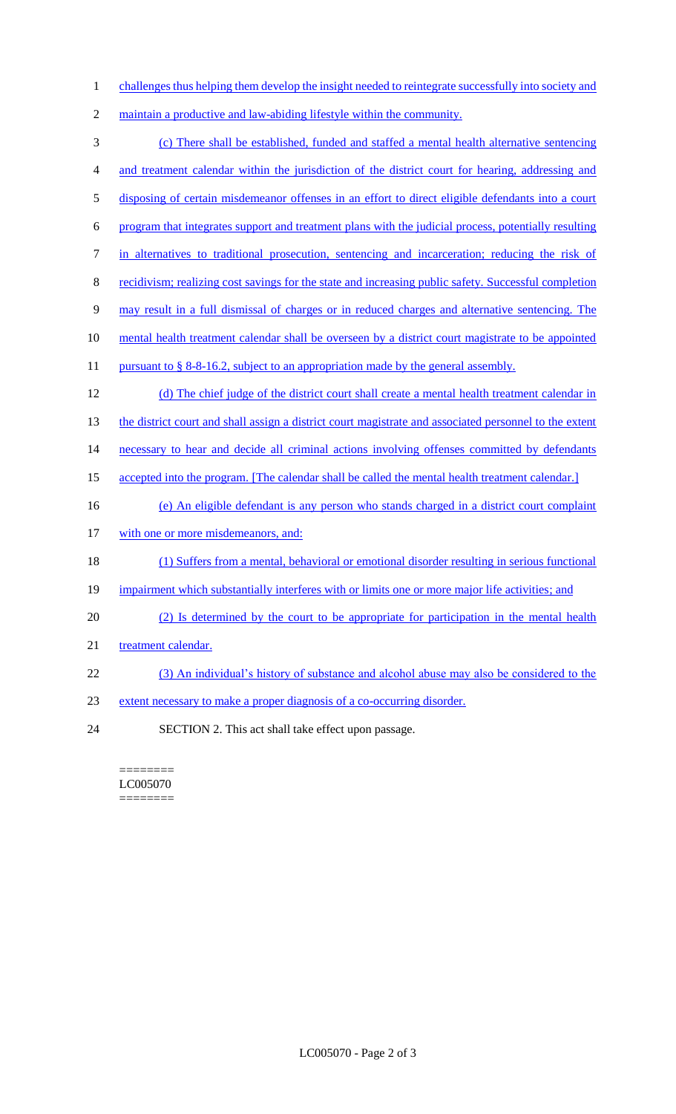- 1 challenges thus helping them develop the insight needed to reintegrate successfully into society and
- 2 maintain a productive and law-abiding lifestyle within the community.
- 3 (c) There shall be established, funded and staffed a mental health alternative sentencing 4 and treatment calendar within the jurisdiction of the district court for hearing, addressing and 5 disposing of certain misdemeanor offenses in an effort to direct eligible defendants into a court 6 program that integrates support and treatment plans with the judicial process, potentially resulting 7 in alternatives to traditional prosecution, sentencing and incarceration; reducing the risk of 8 recidivism; realizing cost savings for the state and increasing public safety. Successful completion 9 may result in a full dismissal of charges or in reduced charges and alternative sentencing. The 10 mental health treatment calendar shall be overseen by a district court magistrate to be appointed 11 pursuant to § 8-8-16.2, subject to an appropriation made by the general assembly. 12 (d) The chief judge of the district court shall create a mental health treatment calendar in 13 the district court and shall assign a district court magistrate and associated personnel to the extent 14 necessary to hear and decide all criminal actions involving offenses committed by defendants 15 accepted into the program. [The calendar shall be called the mental health treatment calendar.] 16 (e) An eligible defendant is any person who stands charged in a district court complaint 17 with one or more misdemeanors, and: 18 (1) Suffers from a mental, behavioral or emotional disorder resulting in serious functional 19 impairment which substantially interferes with or limits one or more major life activities; and 20 (2) Is determined by the court to be appropriate for participation in the mental health 21 treatment calendar. 22 (3) An individual's history of substance and alcohol abuse may also be considered to the 23 extent necessary to make a proper diagnosis of a co-occurring disorder. 24 SECTION 2. This act shall take effect upon passage.

======== LC005070 ========